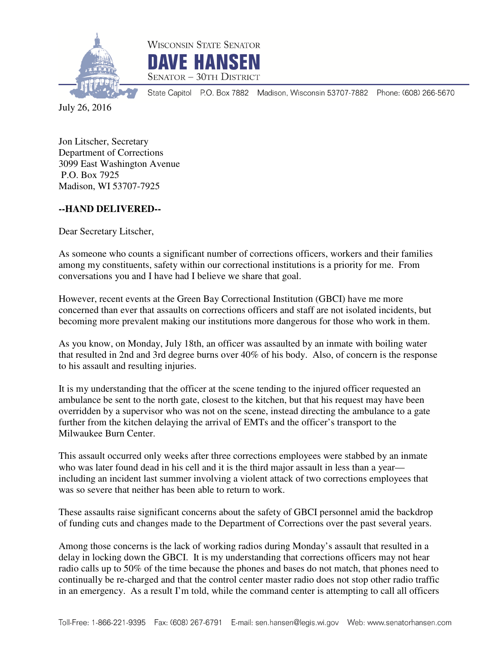



State Capitol P.O. Box 7882 Madison, Wisconsin 53707-7882 Phone: (608) 266-5670

July 26, 2016

Jon Litscher, Secretary Department of Corrections 3099 East Washington Avenue P.O. Box 7925 Madison, WI 53707-7925

## **--HAND DELIVERED--**

Dear Secretary Litscher,

As someone who counts a significant number of corrections officers, workers and their families among my constituents, safety within our correctional institutions is a priority for me. From conversations you and I have had I believe we share that goal.

However, recent events at the Green Bay Correctional Institution (GBCI) have me more concerned than ever that assaults on corrections officers and staff are not isolated incidents, but becoming more prevalent making our institutions more dangerous for those who work in them.

As you know, on Monday, July 18th, an officer was assaulted by an inmate with boiling water that resulted in 2nd and 3rd degree burns over 40% of his body. Also, of concern is the response to his assault and resulting injuries.

It is my understanding that the officer at the scene tending to the injured officer requested an ambulance be sent to the north gate, closest to the kitchen, but that his request may have been overridden by a supervisor who was not on the scene, instead directing the ambulance to a gate further from the kitchen delaying the arrival of EMTs and the officer's transport to the Milwaukee Burn Center.

This assault occurred only weeks after three corrections employees were stabbed by an inmate who was later found dead in his cell and it is the third major assault in less than a year including an incident last summer involving a violent attack of two corrections employees that was so severe that neither has been able to return to work.

These assaults raise significant concerns about the safety of GBCI personnel amid the backdrop of funding cuts and changes made to the Department of Corrections over the past several years.

Among those concerns is the lack of working radios during Monday's assault that resulted in a delay in locking down the GBCI. It is my understanding that corrections officers may not hear radio calls up to 50% of the time because the phones and bases do not match, that phones need to continually be re-charged and that the control center master radio does not stop other radio traffic in an emergency. As a result I'm told, while the command center is attempting to call all officers